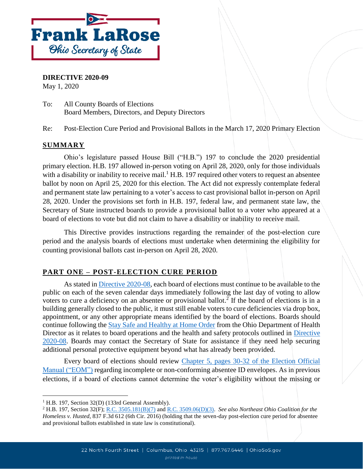

**DIRECTIVE 2020-09**

May 1, 2020

To: All County Boards of Elections Board Members, Directors, and Deputy Directors

Re: Post-Election Cure Period and Provisional Ballots in the March 17, 2020 Primary Election

# **SUMMARY**

Ohio's legislature passed House Bill ("H.B.") 197 to conclude the 2020 presidential primary election. H.B. 197 allowed in-person voting on April 28, 2020, only for those individuals with a disability or inability to receive mail.<sup>1</sup> H.B. 197 required other voters to request an absentee ballot by noon on April 25, 2020 for this election. The Act did not expressly contemplate federal and permanent state law pertaining to a voter's access to cast provisional ballot in-person on April 28, 2020. Under the provisions set forth in H.B. 197, federal law, and permanent state law, the Secretary of State instructed boards to provide a provisional ballot to a voter who appeared at a board of elections to vote but did not claim to have a disability or inability to receive mail.

This Directive provides instructions regarding the remainder of the post-election cure period and the analysis boards of elections must undertake when determining the eligibility for counting provisional ballots cast in-person on April 28, 2020.

#### **PART ONE – POST-ELECTION CURE PERIOD**

As stated in [Directive 2020-08,](https://www.ohiosos.gov/globalassets/elections/directives/2020/dir2020-08.pdf) each board of elections must continue to be available to the public on each of the seven calendar days immediately following the last day of voting to allow voters to cure a deficiency on an absentee or provisional ballot.<sup>2</sup> If the board of elections is in a building generally closed to the public, it must still enable voters to cure deficiencies via drop box, appointment, or any other appropriate means identified by the board of elections. Boards should continue following the [Stay Safe and Healthy at Home Order](https://coronavirus.ohio.gov/static/publicorders/Directors-Stay-At-Home-Order-Amended-04-02-20.pdf) from the Ohio Department of Health Director as it relates to board operations and the health and safety protocols outlined in Directive [2020-08.](https://www.ohiosos.gov/globalassets/elections/directives/2020/dir2020-08.pdf) Boards may contact the Secretary of State for assistance if they need help securing additional personal protective equipment beyond what has already been provided.

Every board of elections should review [Chapter 5, pages 30-32 of the Election Official](https://www.ohiosos.gov/globalassets/elections/directives/2019/eom_12-2019/eom_ch5_2019-12-18.pdf)  [Manual \("EOM"](https://www.ohiosos.gov/globalassets/elections/directives/2019/eom_12-2019/eom_ch5_2019-12-18.pdf)) regarding incomplete or non-conforming absentee ID envelopes. As in previous elections, if a board of elections cannot determine the voter's eligibility without the missing or

l

<sup>&</sup>lt;sup>1</sup> H.B. 197, Section 32(D) (133rd General Assembly).

<sup>2</sup> H.B. 197, Section 32(F); [R.C. 3505.181\(B\)\(7\)](http://codes.ohio.gov/orc/3505.181) and [R.C. 3509.06\(D\)\(3\).](http://codes.ohio.gov/orc/3509.06) *See also Northeast Ohio Coalition for the Homeless v. Husted*, 837 F.3d 612 (6th Cir. 2016) (holding that the seven-day post-election cure period for absentee and provisional ballots established in state law is constitutional).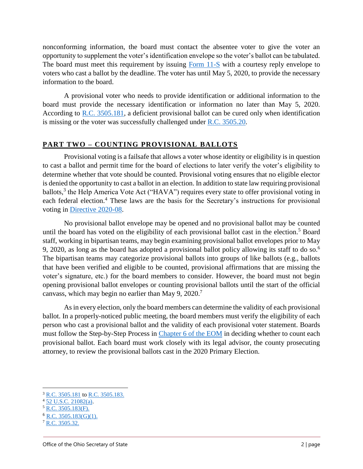nonconforming information, the board must contact the absentee voter to give the voter an opportunity to supplement the voter's identification envelope so the voter's ballot can be tabulated. The board must meet this requirement by issuing [Form 11-S](https://www.sos.state.oh.us/globalassets/elections/forms/11-s.pdf) with a courtesy reply envelope to voters who cast a ballot by the deadline. The voter has until May 5, 2020, to provide the necessary information to the board.

A provisional voter who needs to provide identification or additional information to the board must provide the necessary identification or information no later than May 5, 2020. According to [R.C. 3505.181,](http://codes.ohio.gov/orc/3505.181) a deficient provisional ballot can be cured only when identification is missing or the voter was successfully challenged under [R.C. 3505.20.](http://codes.ohio.gov/orc/3505.20)

## **PART TWO – COUNTING PROVISIONAL BALLOTS**

Provisional voting is a failsafe that allows a voter whose identity or eligibility is in question to cast a ballot and permit time for the board of elections to later verify the voter's eligibility to determine whether that vote should be counted. Provisional voting ensures that no eligible elector is denied the opportunity to cast a ballot in an election. In addition to state law requiring provisional ballots,<sup>3</sup> the Help America Vote Act ("HAVA") requires every state to offer provisional voting in each federal election.<sup>4</sup> These laws are the basis for the Secretary's instructions for provisional voting in [Directive 2020-08.](file:///C:/Users/bmalachowsky/AppData/Local/Microsoft/Windows/INetCache/Content.Outlook/QKJA3U9V/Directive%202020-08)

No provisional ballot envelope may be opened and no provisional ballot may be counted until the board has voted on the eligibility of each provisional ballot cast in the election.<sup>5</sup> Board staff, working in bipartisan teams, may begin examining provisional ballot envelopes prior to May 9, 2020, as long as the board has adopted a provisional ballot policy allowing its staff to do so.<sup>6</sup> The bipartisan teams may categorize provisional ballots into groups of like ballots (e.g., ballots that have been verified and eligible to be counted, provisional affirmations that are missing the voter's signature, etc.) for the board members to consider. However, the board must not begin opening provisional ballot envelopes or counting provisional ballots until the start of the official canvass, which may begin no earlier than May 9, 2020. 7

As in every election, only the board members can determine the validity of each provisional ballot. In a properly-noticed public meeting, the board members must verify the eligibility of each person who cast a provisional ballot and the validity of each provisional voter statement. Boards must follow the Step-by-Step Process in [Chapter 6 of the EOM](https://www.ohiosos.gov/globalassets/elections/directives/2019/eom_12-2019/eom_ch6_2019-12-18.pdf) in deciding whether to count each provisional ballot. Each board must work closely with its legal advisor, the county prosecuting attorney, to review the provisional ballots cast in the 2020 Primary Election.

 $\overline{a}$ 

<sup>&</sup>lt;sup>3</sup> [R.C. 3505.181](http://codes.ohio.gov/orc/3505.181) to [R.C. 3505.183.](http://codes.ohio.gov/orc/3505.183)

 $4\overline{52 \text{ U.S.C. } 21082(a)}$ .

 $5$  R.C. 3505.183 $(F)$ .

<sup>6</sup> [R.C. 3505.183\(G\)\(1\).](http://codes.ohio.gov/orc/3505.183)

<sup>7</sup> [R.C. 3505.32.](http://codes.ohio.gov/orc/3505.32)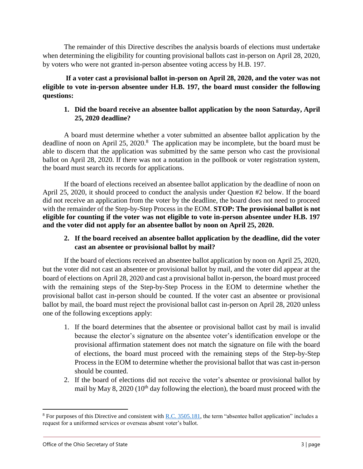The remainder of this Directive describes the analysis boards of elections must undertake when determining the eligibility for counting provisional ballots cast in-person on April 28, 2020, by voters who were not granted in-person absentee voting access by H.B. 197.

**If a voter cast a provisional ballot in-person on April 28, 2020, and the voter was not eligible to vote in-person absentee under H.B. 197, the board must consider the following questions:**

## **1. Did the board receive an absentee ballot application by the noon Saturday, April 25, 2020 deadline?**

A board must determine whether a voter submitted an absentee ballot application by the deadline of noon on April 25, 2020.<sup>8</sup> The application may be incomplete, but the board must be able to discern that the application was submitted by the same person who cast the provisional ballot on April 28, 2020. If there was not a notation in the pollbook or voter registration system, the board must search its records for applications.

If the board of elections received an absentee ballot application by the deadline of noon on April 25, 2020, it should proceed to conduct the analysis under Question #2 below. If the board did not receive an application from the voter by the deadline, the board does not need to proceed with the remainder of the Step-by-Step Process in the EOM. **STOP: The provisional ballot is not eligible for counting if the voter was not eligible to vote in-person absentee under H.B. 197 and the voter did not apply for an absentee ballot by noon on April 25, 2020.**

## **2. If the board received an absentee ballot application by the deadline, did the voter cast an absentee or provisional ballot by mail?**

If the board of elections received an absentee ballot application by noon on April 25, 2020, but the voter did not cast an absentee or provisional ballot by mail, and the voter did appear at the board of elections on April 28, 2020 and cast a provisional ballot in-person, the board must proceed with the remaining steps of the Step-by-Step Process in the EOM to determine whether the provisional ballot cast in-person should be counted. If the voter cast an absentee or provisional ballot by mail, the board must reject the provisional ballot cast in-person on April 28, 2020 unless one of the following exceptions apply:

- 1. If the board determines that the absentee or provisional ballot cast by mail is invalid because the elector's signature on the absentee voter's identification envelope or the provisional affirmation statement does not match the signature on file with the board of elections, the board must proceed with the remaining steps of the Step-by-Step Process in the EOM to determine whether the provisional ballot that was cast in-person should be counted.
- 2. If the board of elections did not receive the voter's absentee or provisional ballot by mail by May 8, 2020 ( $10<sup>th</sup>$  day following the election), the board must proceed with the

l

 $8$  For purposes of this Directive and consistent with [R.C. 3505.181,](http://codes.ohio.gov/orc/3505.181) the term "absentee ballot application" includes a request for a uniformed services or overseas absent voter's ballot.